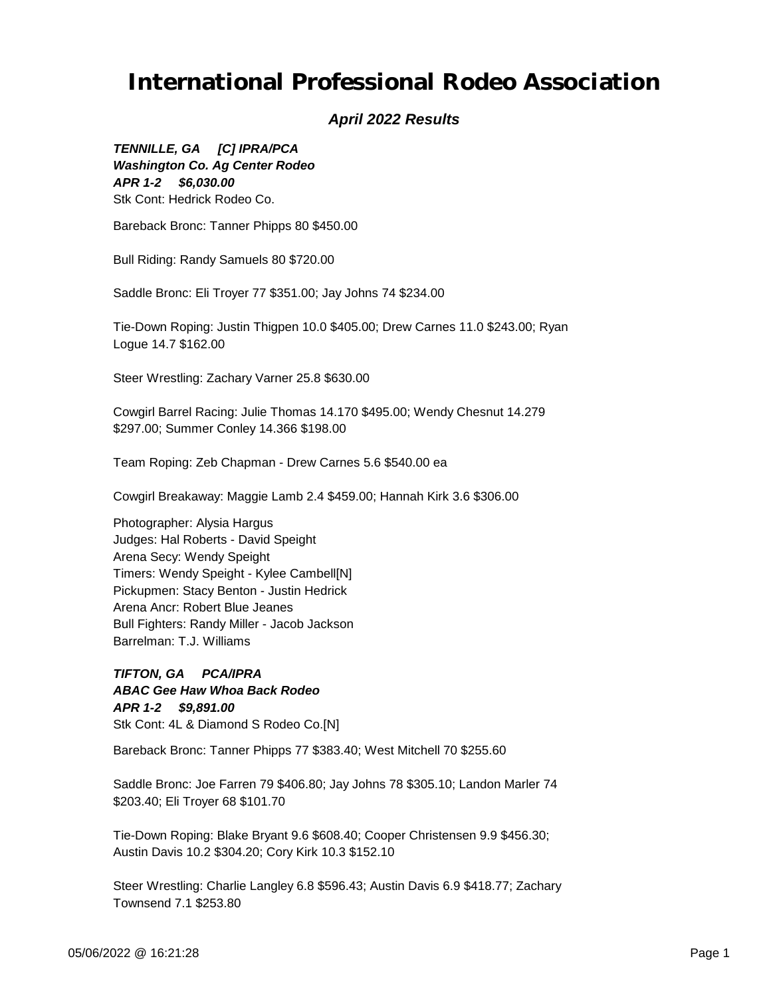#### *April 2022 Results*

*APR 1-2 \$6,030.00 TENNILLE, GA [C] IPRA/PCA Washington Co. Ag Center Rodeo* Stk Cont: Hedrick Rodeo Co.

Bareback Bronc: Tanner Phipps 80 \$450.00

Bull Riding: Randy Samuels 80 \$720.00

Saddle Bronc: Eli Troyer 77 \$351.00; Jay Johns 74 \$234.00

Tie-Down Roping: Justin Thigpen 10.0 \$405.00; Drew Carnes 11.0 \$243.00; Ryan Logue 14.7 \$162.00

Steer Wrestling: Zachary Varner 25.8 \$630.00

Cowgirl Barrel Racing: Julie Thomas 14.170 \$495.00; Wendy Chesnut 14.279 \$297.00; Summer Conley 14.366 \$198.00

Team Roping: Zeb Chapman - Drew Carnes 5.6 \$540.00 ea

Cowgirl Breakaway: Maggie Lamb 2.4 \$459.00; Hannah Kirk 3.6 \$306.00

Photographer: Alysia Hargus Judges: Hal Roberts - David Speight Arena Secy: Wendy Speight Timers: Wendy Speight - Kylee Cambell[N] Pickupmen: Stacy Benton - Justin Hedrick Arena Ancr: Robert Blue Jeanes Bull Fighters: Randy Miller - Jacob Jackson Barrelman: T.J. Williams

*APR 1-2 \$9,891.00 TIFTON, GA PCA/IPRA ABAC Gee Haw Whoa Back Rodeo* Stk Cont: 4L & Diamond S Rodeo Co.[N]

Bareback Bronc: Tanner Phipps 77 \$383.40; West Mitchell 70 \$255.60

Saddle Bronc: Joe Farren 79 \$406.80; Jay Johns 78 \$305.10; Landon Marler 74 \$203.40; Eli Troyer 68 \$101.70

Tie-Down Roping: Blake Bryant 9.6 \$608.40; Cooper Christensen 9.9 \$456.30; Austin Davis 10.2 \$304.20; Cory Kirk 10.3 \$152.10

Steer Wrestling: Charlie Langley 6.8 \$596.43; Austin Davis 6.9 \$418.77; Zachary Townsend 7.1 \$253.80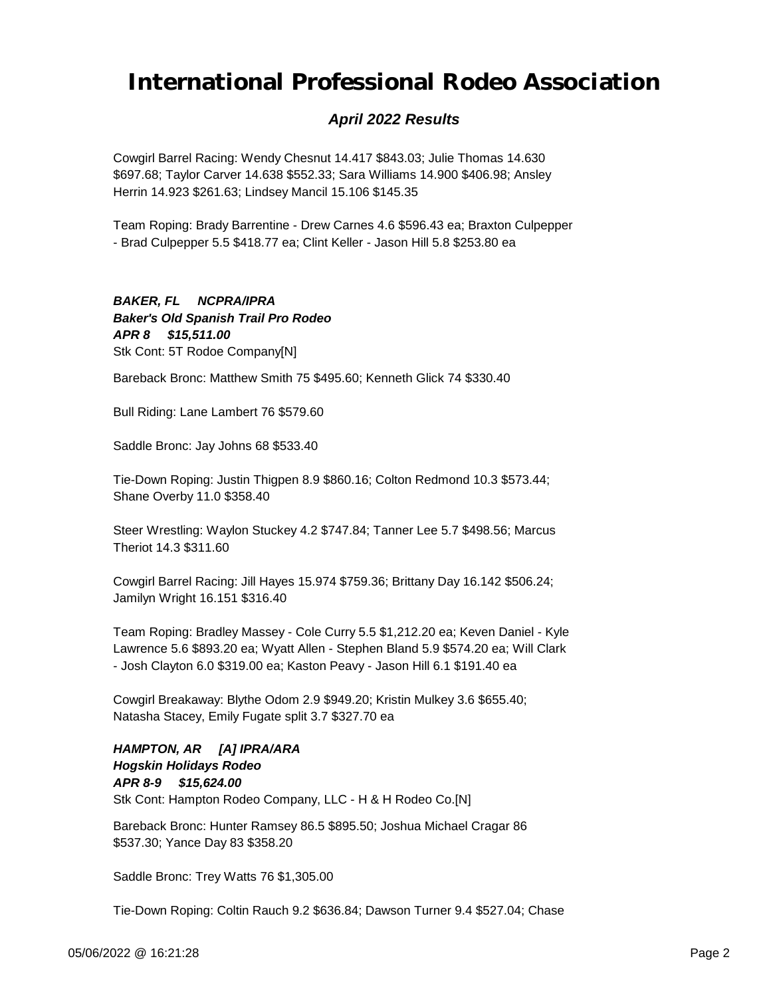### *April 2022 Results*

Cowgirl Barrel Racing: Wendy Chesnut 14.417 \$843.03; Julie Thomas 14.630 \$697.68; Taylor Carver 14.638 \$552.33; Sara Williams 14.900 \$406.98; Ansley Herrin 14.923 \$261.63; Lindsey Mancil 15.106 \$145.35

Team Roping: Brady Barrentine - Drew Carnes 4.6 \$596.43 ea; Braxton Culpepper - Brad Culpepper 5.5 \$418.77 ea; Clint Keller - Jason Hill 5.8 \$253.80 ea

#### *APR 8 \$15,511.00 BAKER, FL NCPRA/IPRA Baker's Old Spanish Trail Pro Rodeo* Stk Cont: 5T Rodoe Company[N]

Bareback Bronc: Matthew Smith 75 \$495.60; Kenneth Glick 74 \$330.40

Bull Riding: Lane Lambert 76 \$579.60

Saddle Bronc: Jay Johns 68 \$533.40

Tie-Down Roping: Justin Thigpen 8.9 \$860.16; Colton Redmond 10.3 \$573.44; Shane Overby 11.0 \$358.40

Steer Wrestling: Waylon Stuckey 4.2 \$747.84; Tanner Lee 5.7 \$498.56; Marcus Theriot 14.3 \$311.60

Cowgirl Barrel Racing: Jill Hayes 15.974 \$759.36; Brittany Day 16.142 \$506.24; Jamilyn Wright 16.151 \$316.40

Team Roping: Bradley Massey - Cole Curry 5.5 \$1,212.20 ea; Keven Daniel - Kyle Lawrence 5.6 \$893.20 ea; Wyatt Allen - Stephen Bland 5.9 \$574.20 ea; Will Clark - Josh Clayton 6.0 \$319.00 ea; Kaston Peavy - Jason Hill 6.1 \$191.40 ea

Cowgirl Breakaway: Blythe Odom 2.9 \$949.20; Kristin Mulkey 3.6 \$655.40; Natasha Stacey, Emily Fugate split 3.7 \$327.70 ea

#### *APR 8-9 \$15,624.00 HAMPTON, AR [A] IPRA/ARA Hogskin Holidays Rodeo* Stk Cont: Hampton Rodeo Company, LLC - H & H Rodeo Co.[N]

Bareback Bronc: Hunter Ramsey 86.5 \$895.50; Joshua Michael Cragar 86 \$537.30; Yance Day 83 \$358.20

Saddle Bronc: Trey Watts 76 \$1,305.00

Tie-Down Roping: Coltin Rauch 9.2 \$636.84; Dawson Turner 9.4 \$527.04; Chase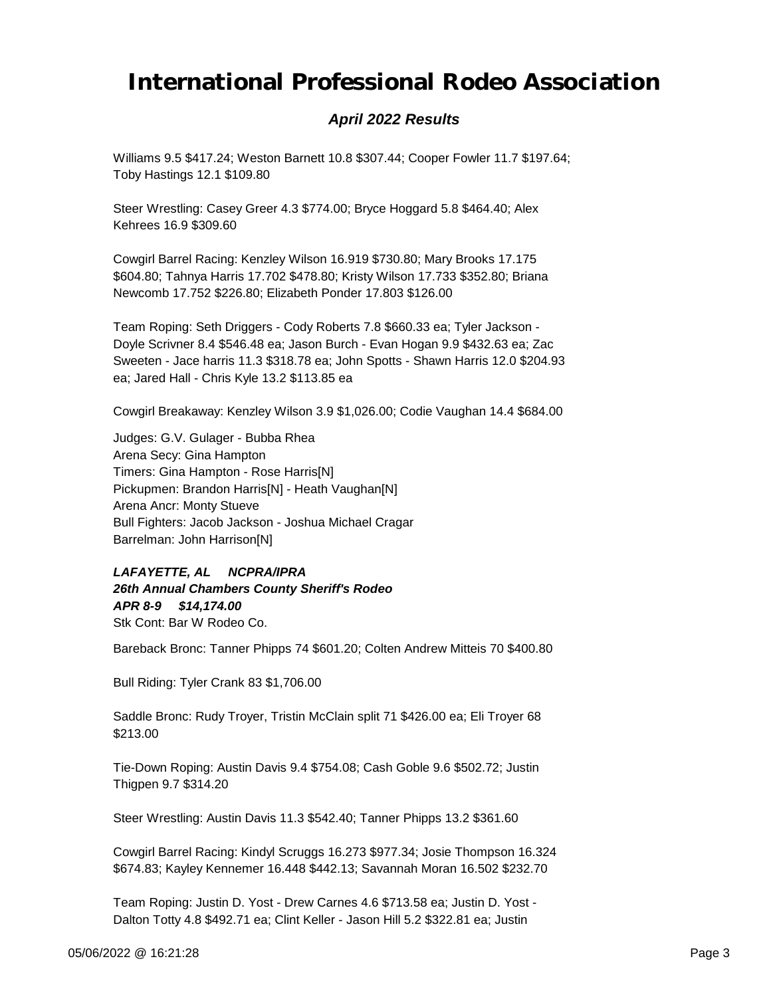### *April 2022 Results*

Williams 9.5 \$417.24; Weston Barnett 10.8 \$307.44; Cooper Fowler 11.7 \$197.64; Toby Hastings 12.1 \$109.80

Steer Wrestling: Casey Greer 4.3 \$774.00; Bryce Hoggard 5.8 \$464.40; Alex Kehrees 16.9 \$309.60

Cowgirl Barrel Racing: Kenzley Wilson 16.919 \$730.80; Mary Brooks 17.175 \$604.80; Tahnya Harris 17.702 \$478.80; Kristy Wilson 17.733 \$352.80; Briana Newcomb 17.752 \$226.80; Elizabeth Ponder 17.803 \$126.00

Team Roping: Seth Driggers - Cody Roberts 7.8 \$660.33 ea; Tyler Jackson - Doyle Scrivner 8.4 \$546.48 ea; Jason Burch - Evan Hogan 9.9 \$432.63 ea; Zac Sweeten - Jace harris 11.3 \$318.78 ea; John Spotts - Shawn Harris 12.0 \$204.93 ea; Jared Hall - Chris Kyle 13.2 \$113.85 ea

Cowgirl Breakaway: Kenzley Wilson 3.9 \$1,026.00; Codie Vaughan 14.4 \$684.00

Judges: G.V. Gulager - Bubba Rhea Arena Secy: Gina Hampton Timers: Gina Hampton - Rose Harris[N] Pickupmen: Brandon Harris[N] - Heath Vaughan[N] Arena Ancr: Monty Stueve Bull Fighters: Jacob Jackson - Joshua Michael Cragar Barrelman: John Harrison[N]

*APR 8-9 \$14,174.00 LAFAYETTE, AL NCPRA/IPRA 26th Annual Chambers County Sheriff's Rodeo* Stk Cont: Bar W Rodeo Co.

Bareback Bronc: Tanner Phipps 74 \$601.20; Colten Andrew Mitteis 70 \$400.80

Bull Riding: Tyler Crank 83 \$1,706.00

Saddle Bronc: Rudy Troyer, Tristin McClain split 71 \$426.00 ea; Eli Troyer 68 \$213.00

Tie-Down Roping: Austin Davis 9.4 \$754.08; Cash Goble 9.6 \$502.72; Justin Thigpen 9.7 \$314.20

Steer Wrestling: Austin Davis 11.3 \$542.40; Tanner Phipps 13.2 \$361.60

Cowgirl Barrel Racing: Kindyl Scruggs 16.273 \$977.34; Josie Thompson 16.324 \$674.83; Kayley Kennemer 16.448 \$442.13; Savannah Moran 16.502 \$232.70

Team Roping: Justin D. Yost - Drew Carnes 4.6 \$713.58 ea; Justin D. Yost - Dalton Totty 4.8 \$492.71 ea; Clint Keller - Jason Hill 5.2 \$322.81 ea; Justin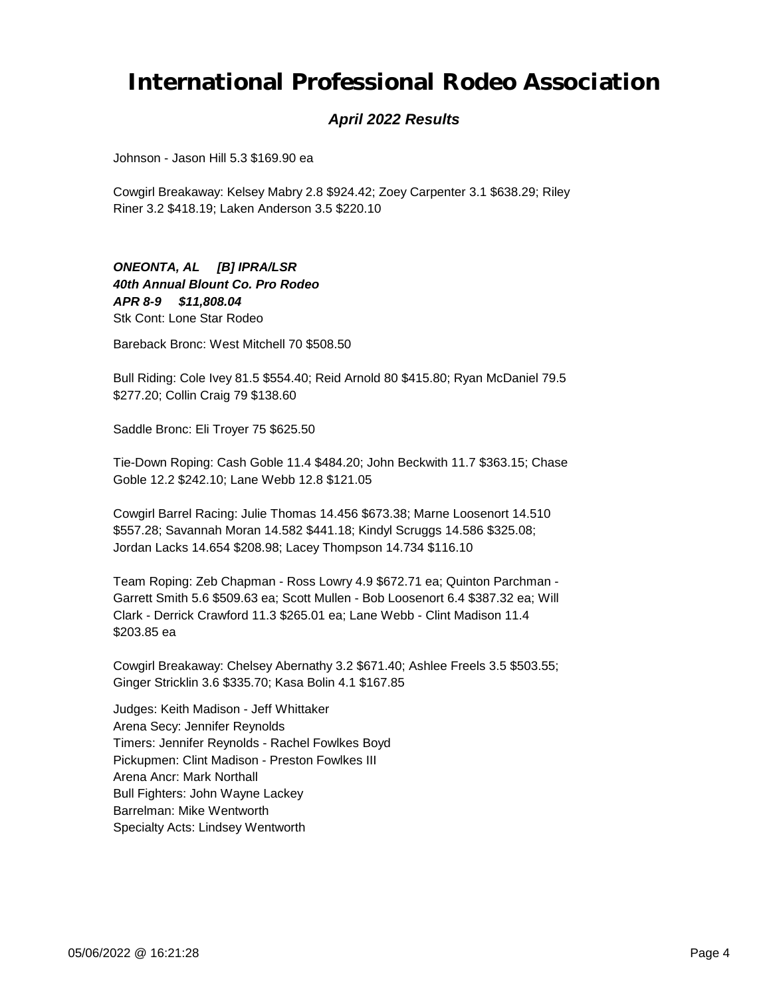#### *April 2022 Results*

Johnson - Jason Hill 5.3 \$169.90 ea

Cowgirl Breakaway: Kelsey Mabry 2.8 \$924.42; Zoey Carpenter 3.1 \$638.29; Riley Riner 3.2 \$418.19; Laken Anderson 3.5 \$220.10

*APR 8-9 \$11,808.04 ONEONTA, AL [B] IPRA/LSR 40th Annual Blount Co. Pro Rodeo* Stk Cont: Lone Star Rodeo

Bareback Bronc: West Mitchell 70 \$508.50

Bull Riding: Cole Ivey 81.5 \$554.40; Reid Arnold 80 \$415.80; Ryan McDaniel 79.5 \$277.20; Collin Craig 79 \$138.60

Saddle Bronc: Eli Troyer 75 \$625.50

Tie-Down Roping: Cash Goble 11.4 \$484.20; John Beckwith 11.7 \$363.15; Chase Goble 12.2 \$242.10; Lane Webb 12.8 \$121.05

Cowgirl Barrel Racing: Julie Thomas 14.456 \$673.38; Marne Loosenort 14.510 \$557.28; Savannah Moran 14.582 \$441.18; Kindyl Scruggs 14.586 \$325.08; Jordan Lacks 14.654 \$208.98; Lacey Thompson 14.734 \$116.10

Team Roping: Zeb Chapman - Ross Lowry 4.9 \$672.71 ea; Quinton Parchman - Garrett Smith 5.6 \$509.63 ea; Scott Mullen - Bob Loosenort 6.4 \$387.32 ea; Will Clark - Derrick Crawford 11.3 \$265.01 ea; Lane Webb - Clint Madison 11.4 \$203.85 ea

Cowgirl Breakaway: Chelsey Abernathy 3.2 \$671.40; Ashlee Freels 3.5 \$503.55; Ginger Stricklin 3.6 \$335.70; Kasa Bolin 4.1 \$167.85

Judges: Keith Madison - Jeff Whittaker Arena Secy: Jennifer Reynolds Timers: Jennifer Reynolds - Rachel Fowlkes Boyd Pickupmen: Clint Madison - Preston Fowlkes III Arena Ancr: Mark Northall Bull Fighters: John Wayne Lackey Barrelman: Mike Wentworth Specialty Acts: Lindsey Wentworth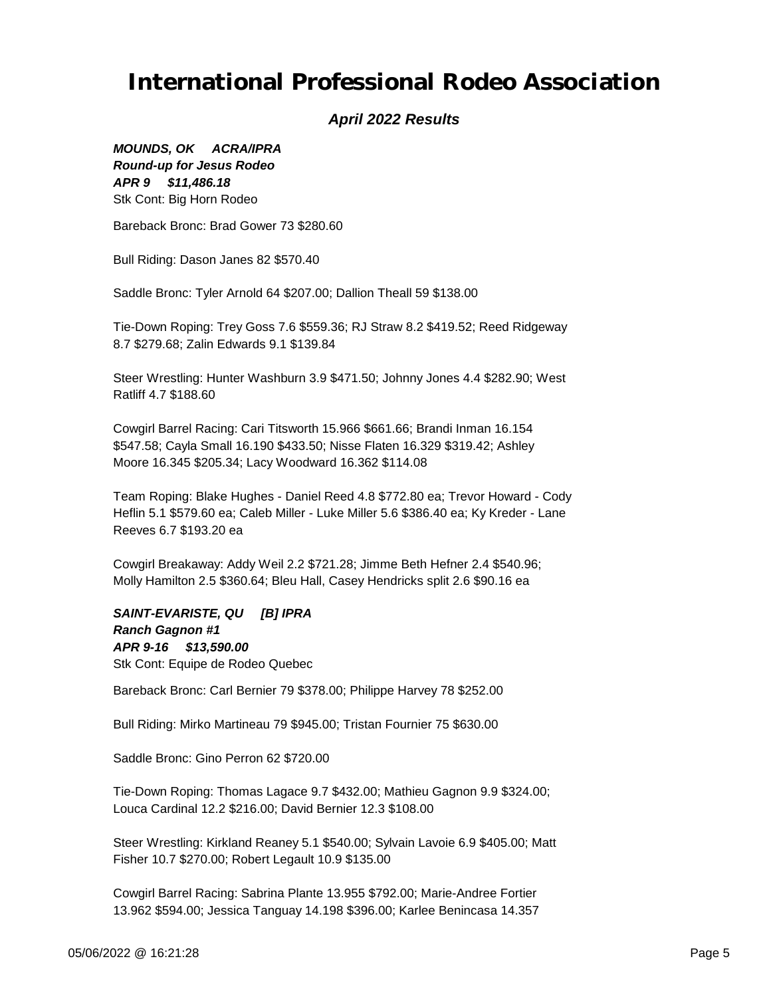#### *April 2022 Results*

*APR 9 \$11,486.18 MOUNDS, OK ACRA/IPRA Round-up for Jesus Rodeo* Stk Cont: Big Horn Rodeo

Bareback Bronc: Brad Gower 73 \$280.60

Bull Riding: Dason Janes 82 \$570.40

Saddle Bronc: Tyler Arnold 64 \$207.00; Dallion Theall 59 \$138.00

Tie-Down Roping: Trey Goss 7.6 \$559.36; RJ Straw 8.2 \$419.52; Reed Ridgeway 8.7 \$279.68; Zalin Edwards 9.1 \$139.84

Steer Wrestling: Hunter Washburn 3.9 \$471.50; Johnny Jones 4.4 \$282.90; West Ratliff 4.7 \$188.60

Cowgirl Barrel Racing: Cari Titsworth 15.966 \$661.66; Brandi Inman 16.154 \$547.58; Cayla Small 16.190 \$433.50; Nisse Flaten 16.329 \$319.42; Ashley Moore 16.345 \$205.34; Lacy Woodward 16.362 \$114.08

Team Roping: Blake Hughes - Daniel Reed 4.8 \$772.80 ea; Trevor Howard - Cody Heflin 5.1 \$579.60 ea; Caleb Miller - Luke Miller 5.6 \$386.40 ea; Ky Kreder - Lane Reeves 6.7 \$193.20 ea

Cowgirl Breakaway: Addy Weil 2.2 \$721.28; Jimme Beth Hefner 2.4 \$540.96; Molly Hamilton 2.5 \$360.64; Bleu Hall, Casey Hendricks split 2.6 \$90.16 ea

*APR 9-16 \$13,590.00 SAINT-EVARISTE, QU [B] IPRA Ranch Gagnon #1* Stk Cont: Equipe de Rodeo Quebec

Bareback Bronc: Carl Bernier 79 \$378.00; Philippe Harvey 78 \$252.00

Bull Riding: Mirko Martineau 79 \$945.00; Tristan Fournier 75 \$630.00

Saddle Bronc: Gino Perron 62 \$720.00

Tie-Down Roping: Thomas Lagace 9.7 \$432.00; Mathieu Gagnon 9.9 \$324.00; Louca Cardinal 12.2 \$216.00; David Bernier 12.3 \$108.00

Steer Wrestling: Kirkland Reaney 5.1 \$540.00; Sylvain Lavoie 6.9 \$405.00; Matt Fisher 10.7 \$270.00; Robert Legault 10.9 \$135.00

Cowgirl Barrel Racing: Sabrina Plante 13.955 \$792.00; Marie-Andree Fortier 13.962 \$594.00; Jessica Tanguay 14.198 \$396.00; Karlee Benincasa 14.357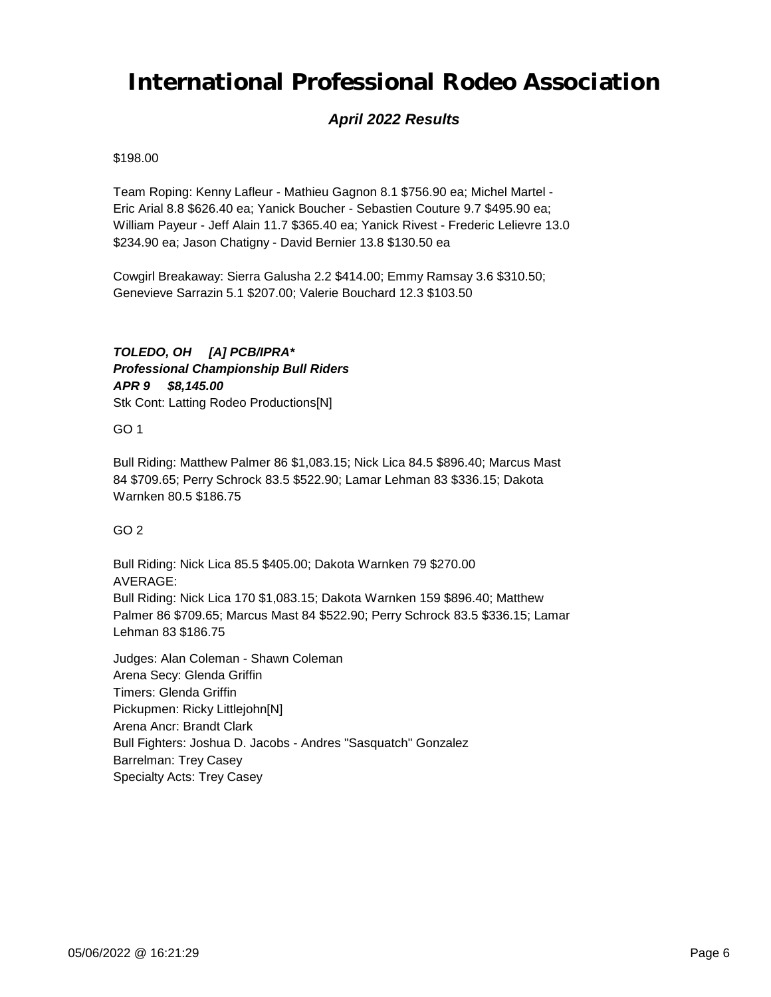### *April 2022 Results*

#### \$198.00

Team Roping: Kenny Lafleur - Mathieu Gagnon 8.1 \$756.90 ea; Michel Martel - Eric Arial 8.8 \$626.40 ea; Yanick Boucher - Sebastien Couture 9.7 \$495.90 ea; William Payeur - Jeff Alain 11.7 \$365.40 ea; Yanick Rivest - Frederic Lelievre 13.0 \$234.90 ea; Jason Chatigny - David Bernier 13.8 \$130.50 ea

Cowgirl Breakaway: Sierra Galusha 2.2 \$414.00; Emmy Ramsay 3.6 \$310.50; Genevieve Sarrazin 5.1 \$207.00; Valerie Bouchard 12.3 \$103.50

#### *APR 9 \$8,145.00 TOLEDO, OH [A] PCB/IPRA\* Professional Championship Bull Riders* Stk Cont: Latting Rodeo Productions[N]

GO 1

Bull Riding: Matthew Palmer 86 \$1,083.15; Nick Lica 84.5 \$896.40; Marcus Mast 84 \$709.65; Perry Schrock 83.5 \$522.90; Lamar Lehman 83 \$336.15; Dakota Warnken 80.5 \$186.75

GO 2

Bull Riding: Nick Lica 85.5 \$405.00; Dakota Warnken 79 \$270.00 AVERAGE: Bull Riding: Nick Lica 170 \$1,083.15; Dakota Warnken 159 \$896.40; Matthew Palmer 86 \$709.65; Marcus Mast 84 \$522.90; Perry Schrock 83.5 \$336.15; Lamar Lehman 83 \$186.75

Judges: Alan Coleman - Shawn Coleman Arena Secy: Glenda Griffin Timers: Glenda Griffin Pickupmen: Ricky Littlejohn[N] Arena Ancr: Brandt Clark Bull Fighters: Joshua D. Jacobs - Andres "Sasquatch" Gonzalez Barrelman: Trey Casey Specialty Acts: Trey Casey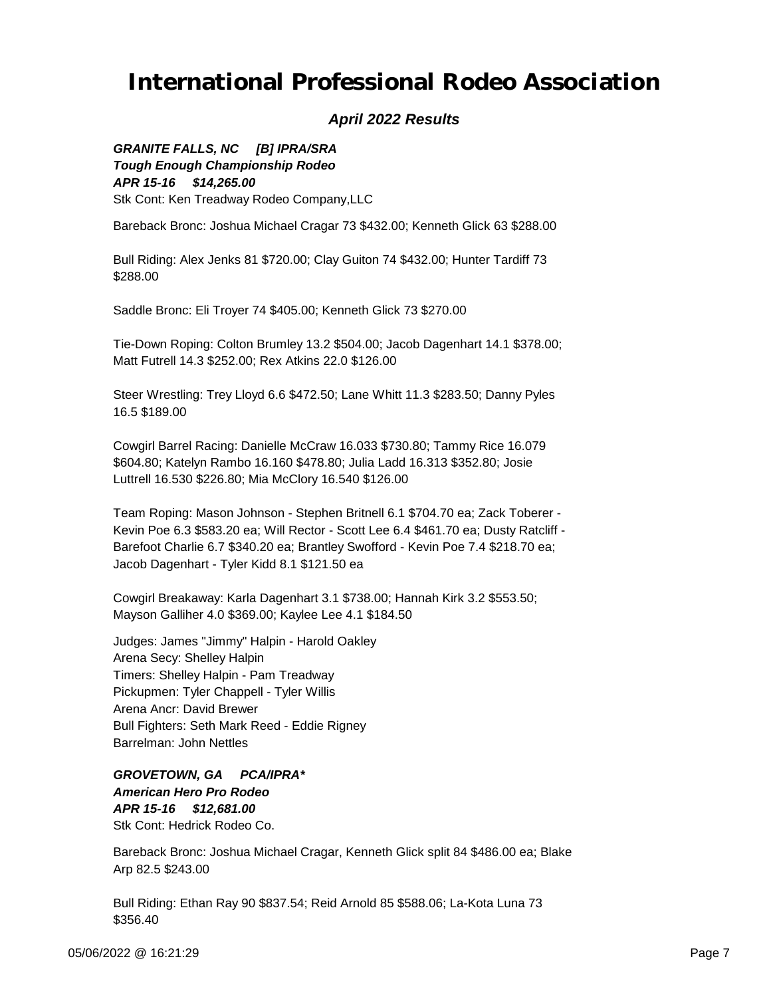#### *April 2022 Results*

*APR 15-16 \$14,265.00 GRANITE FALLS, NC [B] IPRA/SRA Tough Enough Championship Rodeo* Stk Cont: Ken Treadway Rodeo Company,LLC

Bareback Bronc: Joshua Michael Cragar 73 \$432.00; Kenneth Glick 63 \$288.00

Bull Riding: Alex Jenks 81 \$720.00; Clay Guiton 74 \$432.00; Hunter Tardiff 73 \$288.00

Saddle Bronc: Eli Troyer 74 \$405.00; Kenneth Glick 73 \$270.00

Tie-Down Roping: Colton Brumley 13.2 \$504.00; Jacob Dagenhart 14.1 \$378.00; Matt Futrell 14.3 \$252.00; Rex Atkins 22.0 \$126.00

Steer Wrestling: Trey Lloyd 6.6 \$472.50; Lane Whitt 11.3 \$283.50; Danny Pyles 16.5 \$189.00

Cowgirl Barrel Racing: Danielle McCraw 16.033 \$730.80; Tammy Rice 16.079 \$604.80; Katelyn Rambo 16.160 \$478.80; Julia Ladd 16.313 \$352.80; Josie Luttrell 16.530 \$226.80; Mia McClory 16.540 \$126.00

Team Roping: Mason Johnson - Stephen Britnell 6.1 \$704.70 ea; Zack Toberer - Kevin Poe 6.3 \$583.20 ea; Will Rector - Scott Lee 6.4 \$461.70 ea; Dusty Ratcliff - Barefoot Charlie 6.7 \$340.20 ea; Brantley Swofford - Kevin Poe 7.4 \$218.70 ea; Jacob Dagenhart - Tyler Kidd 8.1 \$121.50 ea

Cowgirl Breakaway: Karla Dagenhart 3.1 \$738.00; Hannah Kirk 3.2 \$553.50; Mayson Galliher 4.0 \$369.00; Kaylee Lee 4.1 \$184.50

Judges: James "Jimmy" Halpin - Harold Oakley Arena Secy: Shelley Halpin Timers: Shelley Halpin - Pam Treadway Pickupmen: Tyler Chappell - Tyler Willis Arena Ancr: David Brewer Bull Fighters: Seth Mark Reed - Eddie Rigney Barrelman: John Nettles

*APR 15-16 \$12,681.00 GROVETOWN, GA PCA/IPRA\* American Hero Pro Rodeo* Stk Cont: Hedrick Rodeo Co.

Bareback Bronc: Joshua Michael Cragar, Kenneth Glick split 84 \$486.00 ea; Blake Arp 82.5 \$243.00

Bull Riding: Ethan Ray 90 \$837.54; Reid Arnold 85 \$588.06; La-Kota Luna 73 \$356.40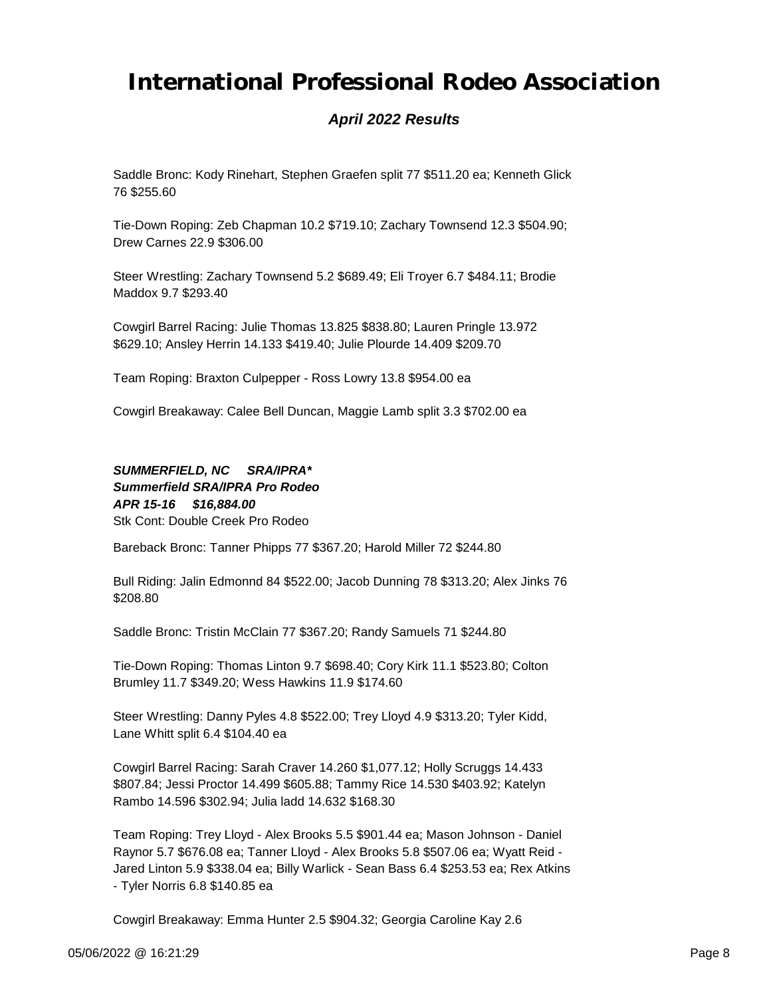### *April 2022 Results*

Saddle Bronc: Kody Rinehart, Stephen Graefen split 77 \$511.20 ea; Kenneth Glick 76 \$255.60

Tie-Down Roping: Zeb Chapman 10.2 \$719.10; Zachary Townsend 12.3 \$504.90; Drew Carnes 22.9 \$306.00

Steer Wrestling: Zachary Townsend 5.2 \$689.49; Eli Troyer 6.7 \$484.11; Brodie Maddox 9.7 \$293.40

Cowgirl Barrel Racing: Julie Thomas 13.825 \$838.80; Lauren Pringle 13.972 \$629.10; Ansley Herrin 14.133 \$419.40; Julie Plourde 14.409 \$209.70

Team Roping: Braxton Culpepper - Ross Lowry 13.8 \$954.00 ea

Cowgirl Breakaway: Calee Bell Duncan, Maggie Lamb split 3.3 \$702.00 ea

*APR 15-16 \$16,884.00 SUMMERFIELD, NC SRA/IPRA\* Summerfield SRA/IPRA Pro Rodeo* Stk Cont: Double Creek Pro Rodeo

Bareback Bronc: Tanner Phipps 77 \$367.20; Harold Miller 72 \$244.80

Bull Riding: Jalin Edmonnd 84 \$522.00; Jacob Dunning 78 \$313.20; Alex Jinks 76 \$208.80

Saddle Bronc: Tristin McClain 77 \$367.20; Randy Samuels 71 \$244.80

Tie-Down Roping: Thomas Linton 9.7 \$698.40; Cory Kirk 11.1 \$523.80; Colton Brumley 11.7 \$349.20; Wess Hawkins 11.9 \$174.60

Steer Wrestling: Danny Pyles 4.8 \$522.00; Trey Lloyd 4.9 \$313.20; Tyler Kidd, Lane Whitt split 6.4 \$104.40 ea

Cowgirl Barrel Racing: Sarah Craver 14.260 \$1,077.12; Holly Scruggs 14.433 \$807.84; Jessi Proctor 14.499 \$605.88; Tammy Rice 14.530 \$403.92; Katelyn Rambo 14.596 \$302.94; Julia ladd 14.632 \$168.30

Team Roping: Trey Lloyd - Alex Brooks 5.5 \$901.44 ea; Mason Johnson - Daniel Raynor 5.7 \$676.08 ea; Tanner Lloyd - Alex Brooks 5.8 \$507.06 ea; Wyatt Reid - Jared Linton 5.9 \$338.04 ea; Billy Warlick - Sean Bass 6.4 \$253.53 ea; Rex Atkins - Tyler Norris 6.8 \$140.85 ea

Cowgirl Breakaway: Emma Hunter 2.5 \$904.32; Georgia Caroline Kay 2.6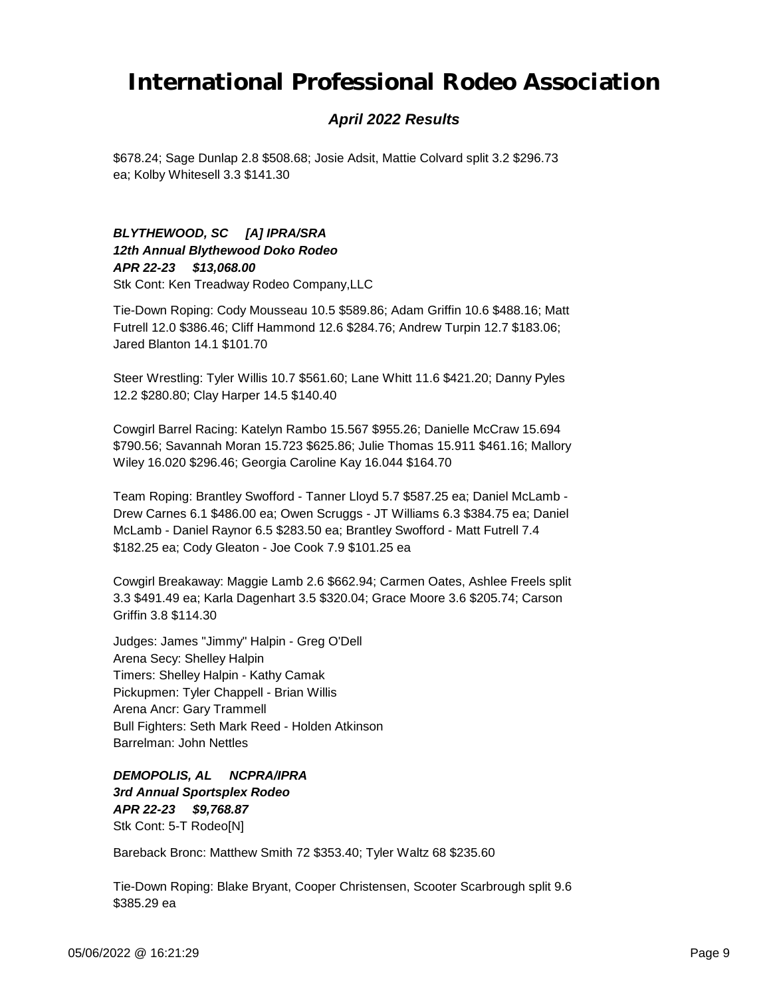#### *April 2022 Results*

\$678.24; Sage Dunlap 2.8 \$508.68; Josie Adsit, Mattie Colvard split 3.2 \$296.73 ea; Kolby Whitesell 3.3 \$141.30

#### *APR 22-23 \$13,068.00 BLYTHEWOOD, SC [A] IPRA/SRA 12th Annual Blythewood Doko Rodeo* Stk Cont: Ken Treadway Rodeo Company,LLC

Tie-Down Roping: Cody Mousseau 10.5 \$589.86; Adam Griffin 10.6 \$488.16; Matt Futrell 12.0 \$386.46; Cliff Hammond 12.6 \$284.76; Andrew Turpin 12.7 \$183.06; Jared Blanton 14.1 \$101.70

Steer Wrestling: Tyler Willis 10.7 \$561.60; Lane Whitt 11.6 \$421.20; Danny Pyles 12.2 \$280.80; Clay Harper 14.5 \$140.40

Cowgirl Barrel Racing: Katelyn Rambo 15.567 \$955.26; Danielle McCraw 15.694 \$790.56; Savannah Moran 15.723 \$625.86; Julie Thomas 15.911 \$461.16; Mallory Wiley 16.020 \$296.46; Georgia Caroline Kay 16.044 \$164.70

Team Roping: Brantley Swofford - Tanner Lloyd 5.7 \$587.25 ea; Daniel McLamb - Drew Carnes 6.1 \$486.00 ea; Owen Scruggs - JT Williams 6.3 \$384.75 ea; Daniel McLamb - Daniel Raynor 6.5 \$283.50 ea; Brantley Swofford - Matt Futrell 7.4 \$182.25 ea; Cody Gleaton - Joe Cook 7.9 \$101.25 ea

Cowgirl Breakaway: Maggie Lamb 2.6 \$662.94; Carmen Oates, Ashlee Freels split 3.3 \$491.49 ea; Karla Dagenhart 3.5 \$320.04; Grace Moore 3.6 \$205.74; Carson Griffin 3.8 \$114.30

Judges: James "Jimmy" Halpin - Greg O'Dell Arena Secy: Shelley Halpin Timers: Shelley Halpin - Kathy Camak Pickupmen: Tyler Chappell - Brian Willis Arena Ancr: Gary Trammell Bull Fighters: Seth Mark Reed - Holden Atkinson Barrelman: John Nettles

*APR 22-23 \$9,768.87 DEMOPOLIS, AL NCPRA/IPRA 3rd Annual Sportsplex Rodeo* Stk Cont: 5-T Rodeo[N]

Bareback Bronc: Matthew Smith 72 \$353.40; Tyler Waltz 68 \$235.60

Tie-Down Roping: Blake Bryant, Cooper Christensen, Scooter Scarbrough split 9.6 \$385.29 ea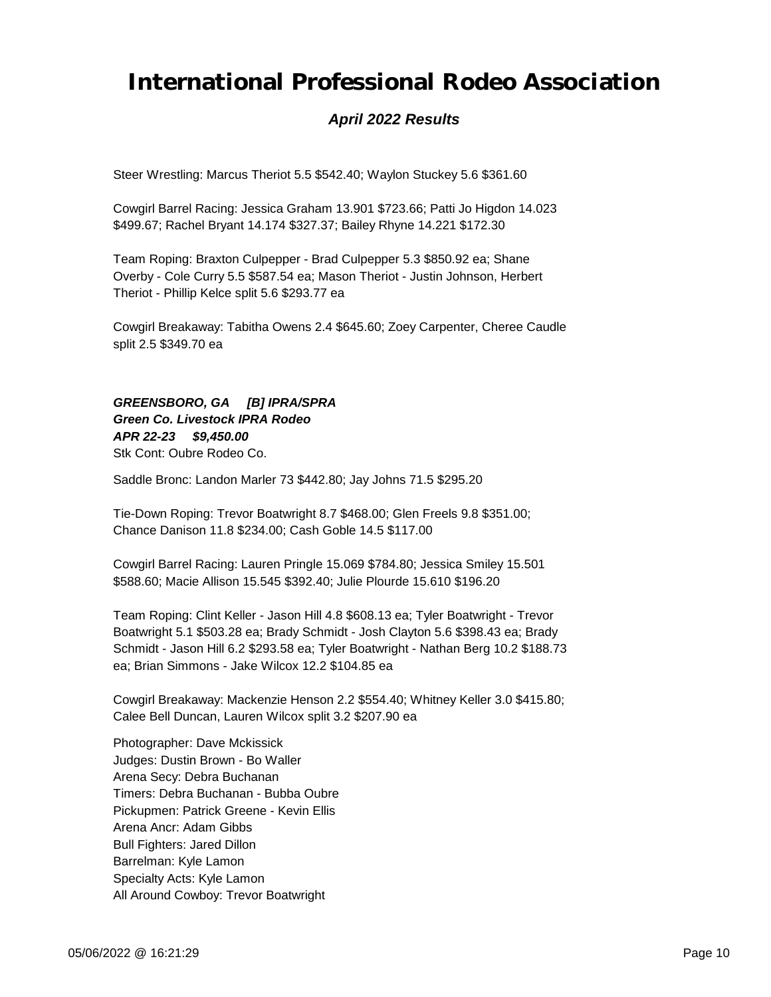### *April 2022 Results*

Steer Wrestling: Marcus Theriot 5.5 \$542.40; Waylon Stuckey 5.6 \$361.60

Cowgirl Barrel Racing: Jessica Graham 13.901 \$723.66; Patti Jo Higdon 14.023 \$499.67; Rachel Bryant 14.174 \$327.37; Bailey Rhyne 14.221 \$172.30

Team Roping: Braxton Culpepper - Brad Culpepper 5.3 \$850.92 ea; Shane Overby - Cole Curry 5.5 \$587.54 ea; Mason Theriot - Justin Johnson, Herbert Theriot - Phillip Kelce split 5.6 \$293.77 ea

Cowgirl Breakaway: Tabitha Owens 2.4 \$645.60; Zoey Carpenter, Cheree Caudle split 2.5 \$349.70 ea

*APR 22-23 \$9,450.00 GREENSBORO, GA [B] IPRA/SPRA Green Co. Livestock IPRA Rodeo* Stk Cont: Oubre Rodeo Co.

Saddle Bronc: Landon Marler 73 \$442.80; Jay Johns 71.5 \$295.20

Tie-Down Roping: Trevor Boatwright 8.7 \$468.00; Glen Freels 9.8 \$351.00; Chance Danison 11.8 \$234.00; Cash Goble 14.5 \$117.00

Cowgirl Barrel Racing: Lauren Pringle 15.069 \$784.80; Jessica Smiley 15.501 \$588.60; Macie Allison 15.545 \$392.40; Julie Plourde 15.610 \$196.20

Team Roping: Clint Keller - Jason Hill 4.8 \$608.13 ea; Tyler Boatwright - Trevor Boatwright 5.1 \$503.28 ea; Brady Schmidt - Josh Clayton 5.6 \$398.43 ea; Brady Schmidt - Jason Hill 6.2 \$293.58 ea; Tyler Boatwright - Nathan Berg 10.2 \$188.73 ea; Brian Simmons - Jake Wilcox 12.2 \$104.85 ea

Cowgirl Breakaway: Mackenzie Henson 2.2 \$554.40; Whitney Keller 3.0 \$415.80; Calee Bell Duncan, Lauren Wilcox split 3.2 \$207.90 ea

Photographer: Dave Mckissick Judges: Dustin Brown - Bo Waller Arena Secy: Debra Buchanan Timers: Debra Buchanan - Bubba Oubre Pickupmen: Patrick Greene - Kevin Ellis Arena Ancr: Adam Gibbs Bull Fighters: Jared Dillon Barrelman: Kyle Lamon Specialty Acts: Kyle Lamon All Around Cowboy: Trevor Boatwright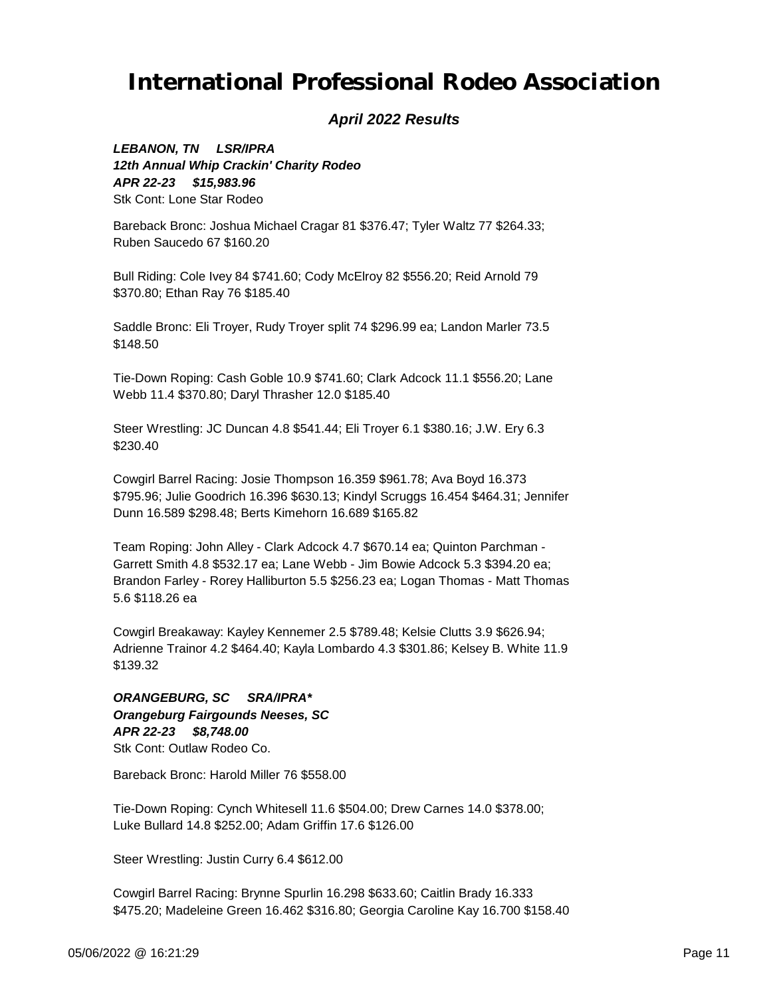#### *April 2022 Results*

*APR 22-23 \$15,983.96 LEBANON, TN LSR/IPRA 12th Annual Whip Crackin' Charity Rodeo* Stk Cont: Lone Star Rodeo

Bareback Bronc: Joshua Michael Cragar 81 \$376.47; Tyler Waltz 77 \$264.33; Ruben Saucedo 67 \$160.20

Bull Riding: Cole Ivey 84 \$741.60; Cody McElroy 82 \$556.20; Reid Arnold 79 \$370.80; Ethan Ray 76 \$185.40

Saddle Bronc: Eli Troyer, Rudy Troyer split 74 \$296.99 ea; Landon Marler 73.5 \$148.50

Tie-Down Roping: Cash Goble 10.9 \$741.60; Clark Adcock 11.1 \$556.20; Lane Webb 11.4 \$370.80; Daryl Thrasher 12.0 \$185.40

Steer Wrestling: JC Duncan 4.8 \$541.44; Eli Troyer 6.1 \$380.16; J.W. Ery 6.3 \$230.40

Cowgirl Barrel Racing: Josie Thompson 16.359 \$961.78; Ava Boyd 16.373 \$795.96; Julie Goodrich 16.396 \$630.13; Kindyl Scruggs 16.454 \$464.31; Jennifer Dunn 16.589 \$298.48; Berts Kimehorn 16.689 \$165.82

Team Roping: John Alley - Clark Adcock 4.7 \$670.14 ea; Quinton Parchman - Garrett Smith 4.8 \$532.17 ea; Lane Webb - Jim Bowie Adcock 5.3 \$394.20 ea; Brandon Farley - Rorey Halliburton 5.5 \$256.23 ea; Logan Thomas - Matt Thomas 5.6 \$118.26 ea

Cowgirl Breakaway: Kayley Kennemer 2.5 \$789.48; Kelsie Clutts 3.9 \$626.94; Adrienne Trainor 4.2 \$464.40; Kayla Lombardo 4.3 \$301.86; Kelsey B. White 11.9 \$139.32

*APR 22-23 \$8,748.00 ORANGEBURG, SC SRA/IPRA\* Orangeburg Fairgounds Neeses, SC* Stk Cont: Outlaw Rodeo Co.

Bareback Bronc: Harold Miller 76 \$558.00

Tie-Down Roping: Cynch Whitesell 11.6 \$504.00; Drew Carnes 14.0 \$378.00; Luke Bullard 14.8 \$252.00; Adam Griffin 17.6 \$126.00

Steer Wrestling: Justin Curry 6.4 \$612.00

Cowgirl Barrel Racing: Brynne Spurlin 16.298 \$633.60; Caitlin Brady 16.333 \$475.20; Madeleine Green 16.462 \$316.80; Georgia Caroline Kay 16.700 \$158.40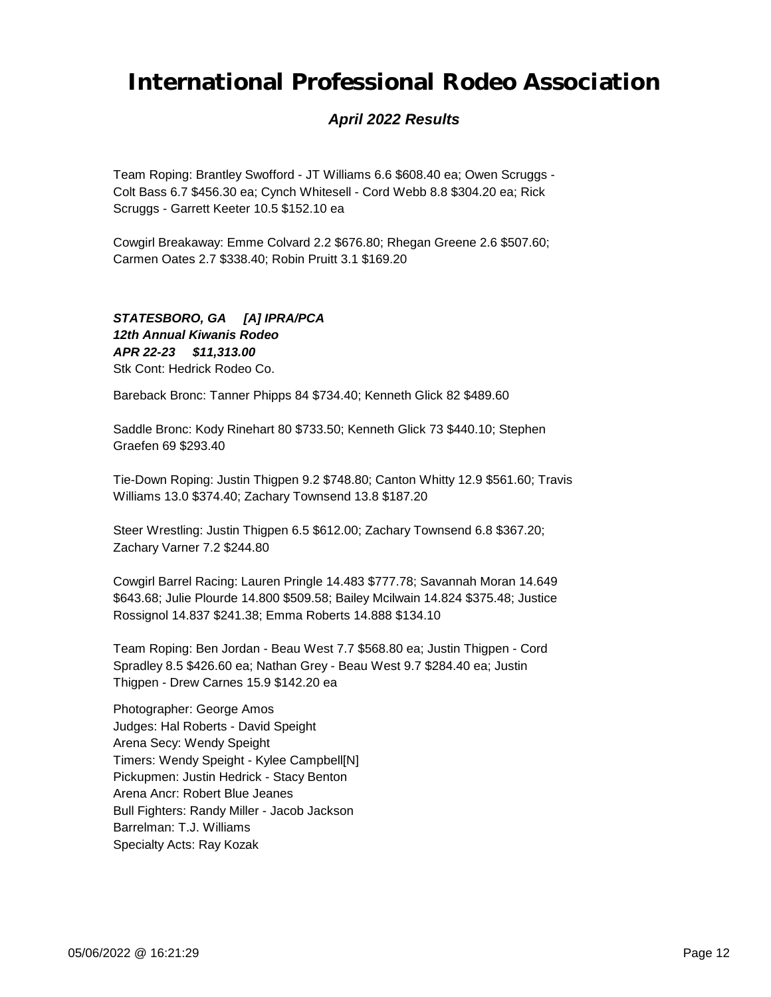### *April 2022 Results*

Team Roping: Brantley Swofford - JT Williams 6.6 \$608.40 ea; Owen Scruggs - Colt Bass 6.7 \$456.30 ea; Cynch Whitesell - Cord Webb 8.8 \$304.20 ea; Rick Scruggs - Garrett Keeter 10.5 \$152.10 ea

Cowgirl Breakaway: Emme Colvard 2.2 \$676.80; Rhegan Greene 2.6 \$507.60; Carmen Oates 2.7 \$338.40; Robin Pruitt 3.1 \$169.20

#### *APR 22-23 \$11,313.00 STATESBORO, GA [A] IPRA/PCA 12th Annual Kiwanis Rodeo* Stk Cont: Hedrick Rodeo Co.

Bareback Bronc: Tanner Phipps 84 \$734.40; Kenneth Glick 82 \$489.60

Saddle Bronc: Kody Rinehart 80 \$733.50; Kenneth Glick 73 \$440.10; Stephen Graefen 69 \$293.40

Tie-Down Roping: Justin Thigpen 9.2 \$748.80; Canton Whitty 12.9 \$561.60; Travis Williams 13.0 \$374.40; Zachary Townsend 13.8 \$187.20

Steer Wrestling: Justin Thigpen 6.5 \$612.00; Zachary Townsend 6.8 \$367.20; Zachary Varner 7.2 \$244.80

Cowgirl Barrel Racing: Lauren Pringle 14.483 \$777.78; Savannah Moran 14.649 \$643.68; Julie Plourde 14.800 \$509.58; Bailey Mcilwain 14.824 \$375.48; Justice Rossignol 14.837 \$241.38; Emma Roberts 14.888 \$134.10

Team Roping: Ben Jordan - Beau West 7.7 \$568.80 ea; Justin Thigpen - Cord Spradley 8.5 \$426.60 ea; Nathan Grey - Beau West 9.7 \$284.40 ea; Justin Thigpen - Drew Carnes 15.9 \$142.20 ea

Photographer: George Amos Judges: Hal Roberts - David Speight Arena Secy: Wendy Speight Timers: Wendy Speight - Kylee Campbell[N] Pickupmen: Justin Hedrick - Stacy Benton Arena Ancr: Robert Blue Jeanes Bull Fighters: Randy Miller - Jacob Jackson Barrelman: T.J. Williams Specialty Acts: Ray Kozak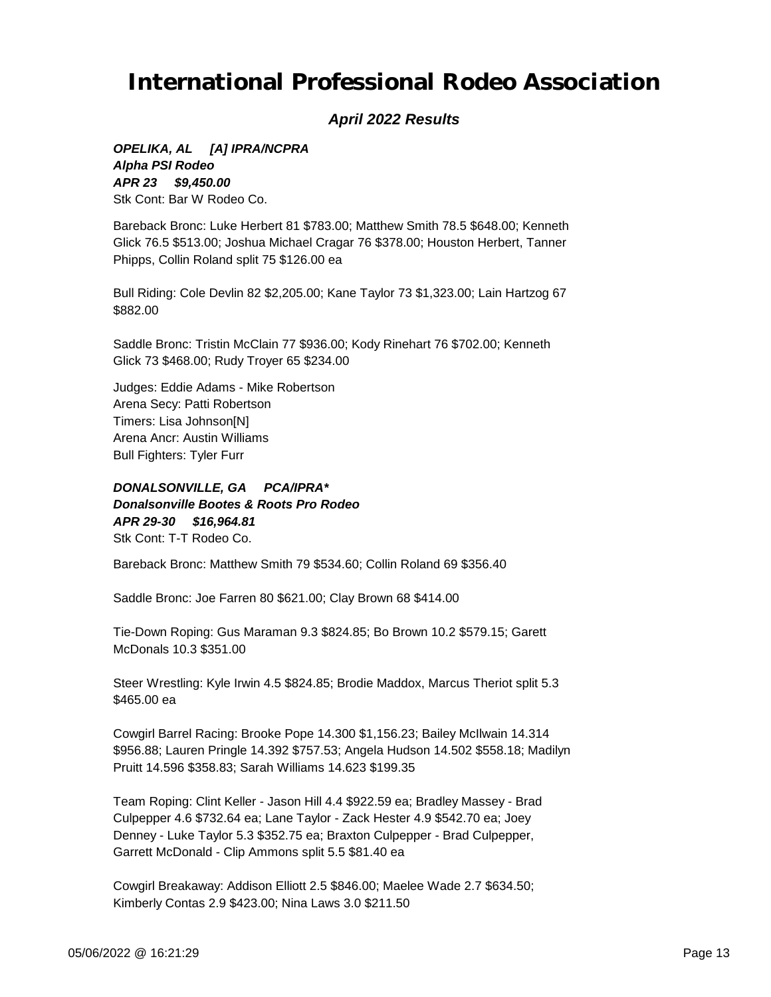#### *April 2022 Results*

*APR 23 \$9,450.00 OPELIKA, AL [A] IPRA/NCPRA Alpha PSI Rodeo* Stk Cont: Bar W Rodeo Co.

Bareback Bronc: Luke Herbert 81 \$783.00; Matthew Smith 78.5 \$648.00; Kenneth Glick 76.5 \$513.00; Joshua Michael Cragar 76 \$378.00; Houston Herbert, Tanner Phipps, Collin Roland split 75 \$126.00 ea

Bull Riding: Cole Devlin 82 \$2,205.00; Kane Taylor 73 \$1,323.00; Lain Hartzog 67 \$882.00

Saddle Bronc: Tristin McClain 77 \$936.00; Kody Rinehart 76 \$702.00; Kenneth Glick 73 \$468.00; Rudy Troyer 65 \$234.00

Judges: Eddie Adams - Mike Robertson Arena Secy: Patti Robertson Timers: Lisa Johnson[N] Arena Ancr: Austin Williams Bull Fighters: Tyler Furr

*APR 29-30 \$16,964.81 DONALSONVILLE, GA PCA/IPRA\* Donalsonville Bootes & Roots Pro Rodeo* Stk Cont: T-T Rodeo Co.

Bareback Bronc: Matthew Smith 79 \$534.60; Collin Roland 69 \$356.40

Saddle Bronc: Joe Farren 80 \$621.00; Clay Brown 68 \$414.00

Tie-Down Roping: Gus Maraman 9.3 \$824.85; Bo Brown 10.2 \$579.15; Garett McDonals 10.3 \$351.00

Steer Wrestling: Kyle Irwin 4.5 \$824.85; Brodie Maddox, Marcus Theriot split 5.3 \$465.00 ea

Cowgirl Barrel Racing: Brooke Pope 14.300 \$1,156.23; Bailey McIlwain 14.314 \$956.88; Lauren Pringle 14.392 \$757.53; Angela Hudson 14.502 \$558.18; Madilyn Pruitt 14.596 \$358.83; Sarah Williams 14.623 \$199.35

Team Roping: Clint Keller - Jason Hill 4.4 \$922.59 ea; Bradley Massey - Brad Culpepper 4.6 \$732.64 ea; Lane Taylor - Zack Hester 4.9 \$542.70 ea; Joey Denney - Luke Taylor 5.3 \$352.75 ea; Braxton Culpepper - Brad Culpepper, Garrett McDonald - Clip Ammons split 5.5 \$81.40 ea

Cowgirl Breakaway: Addison Elliott 2.5 \$846.00; Maelee Wade 2.7 \$634.50; Kimberly Contas 2.9 \$423.00; Nina Laws 3.0 \$211.50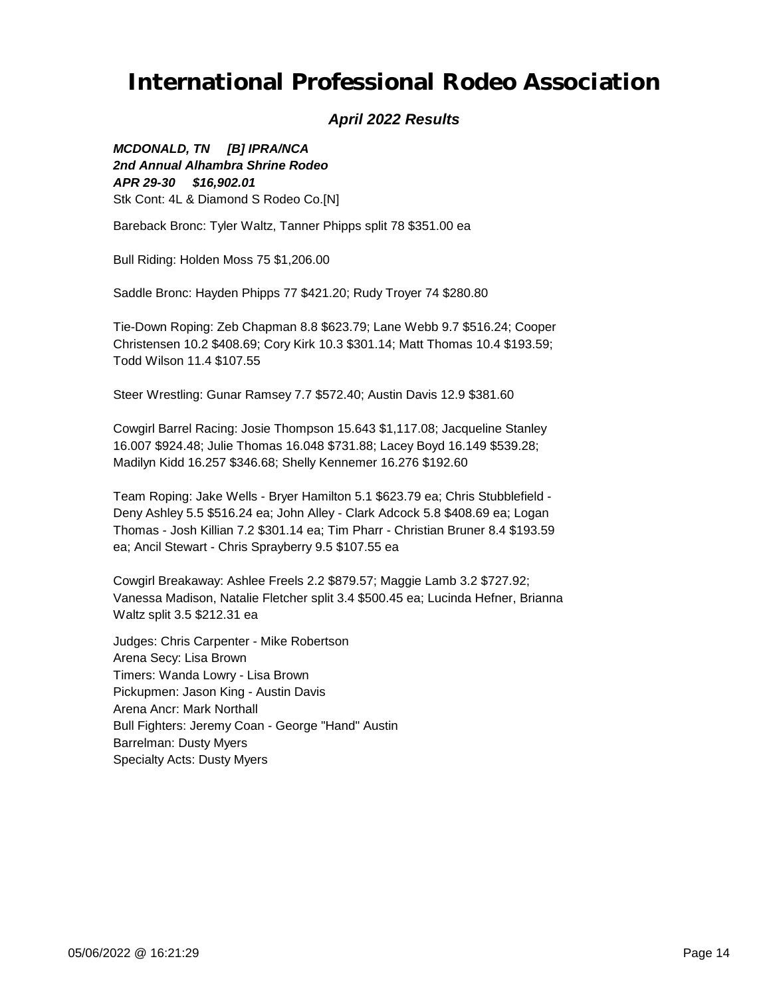#### *April 2022 Results*

*APR 29-30 \$16,902.01 MCDONALD, TN [B] IPRA/NCA 2nd Annual Alhambra Shrine Rodeo* Stk Cont: 4L & Diamond S Rodeo Co.[N]

Bareback Bronc: Tyler Waltz, Tanner Phipps split 78 \$351.00 ea

Bull Riding: Holden Moss 75 \$1,206.00

Saddle Bronc: Hayden Phipps 77 \$421.20; Rudy Troyer 74 \$280.80

Tie-Down Roping: Zeb Chapman 8.8 \$623.79; Lane Webb 9.7 \$516.24; Cooper Christensen 10.2 \$408.69; Cory Kirk 10.3 \$301.14; Matt Thomas 10.4 \$193.59; Todd Wilson 11.4 \$107.55

Steer Wrestling: Gunar Ramsey 7.7 \$572.40; Austin Davis 12.9 \$381.60

Cowgirl Barrel Racing: Josie Thompson 15.643 \$1,117.08; Jacqueline Stanley 16.007 \$924.48; Julie Thomas 16.048 \$731.88; Lacey Boyd 16.149 \$539.28; Madilyn Kidd 16.257 \$346.68; Shelly Kennemer 16.276 \$192.60

Team Roping: Jake Wells - Bryer Hamilton 5.1 \$623.79 ea; Chris Stubblefield - Deny Ashley 5.5 \$516.24 ea; John Alley - Clark Adcock 5.8 \$408.69 ea; Logan Thomas - Josh Killian 7.2 \$301.14 ea; Tim Pharr - Christian Bruner 8.4 \$193.59 ea; Ancil Stewart - Chris Sprayberry 9.5 \$107.55 ea

Cowgirl Breakaway: Ashlee Freels 2.2 \$879.57; Maggie Lamb 3.2 \$727.92; Vanessa Madison, Natalie Fletcher split 3.4 \$500.45 ea; Lucinda Hefner, Brianna Waltz split 3.5 \$212.31 ea

Judges: Chris Carpenter - Mike Robertson Arena Secy: Lisa Brown Timers: Wanda Lowry - Lisa Brown Pickupmen: Jason King - Austin Davis Arena Ancr: Mark Northall Bull Fighters: Jeremy Coan - George "Hand" Austin Barrelman: Dusty Myers Specialty Acts: Dusty Myers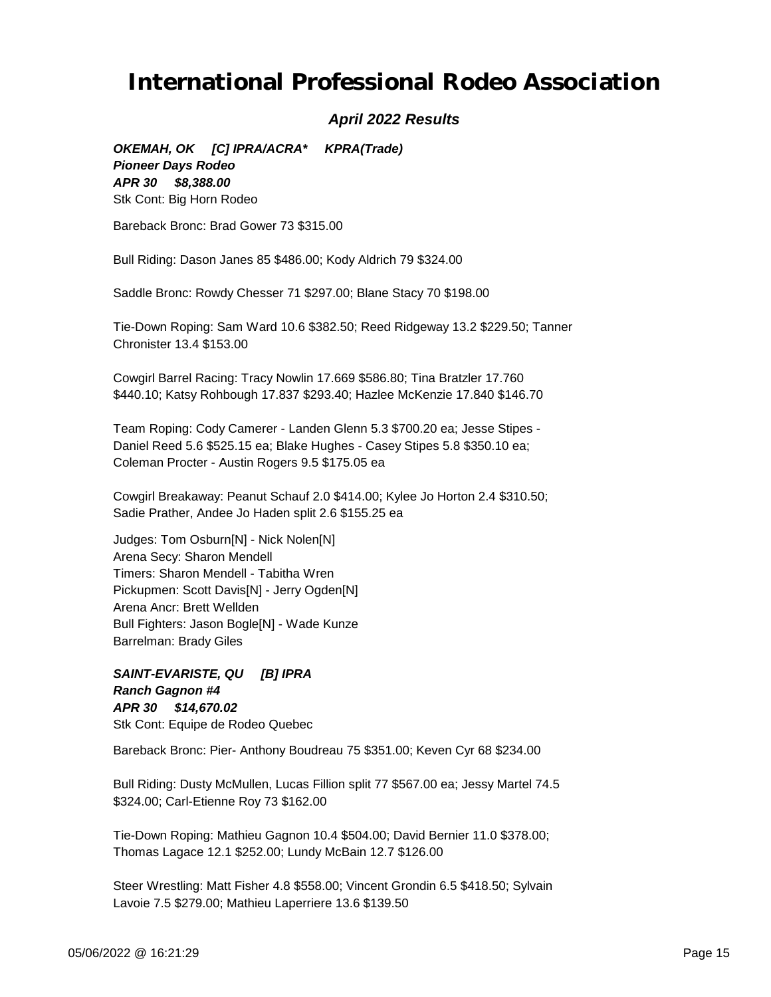#### *April 2022 Results*

*APR 30 \$8,388.00 OKEMAH, OK [C] IPRA/ACRA\* KPRA(Trade) Pioneer Days Rodeo* Stk Cont: Big Horn Rodeo

Bareback Bronc: Brad Gower 73 \$315.00

Bull Riding: Dason Janes 85 \$486.00; Kody Aldrich 79 \$324.00

Saddle Bronc: Rowdy Chesser 71 \$297.00; Blane Stacy 70 \$198.00

Tie-Down Roping: Sam Ward 10.6 \$382.50; Reed Ridgeway 13.2 \$229.50; Tanner Chronister 13.4 \$153.00

Cowgirl Barrel Racing: Tracy Nowlin 17.669 \$586.80; Tina Bratzler 17.760 \$440.10; Katsy Rohbough 17.837 \$293.40; Hazlee McKenzie 17.840 \$146.70

Team Roping: Cody Camerer - Landen Glenn 5.3 \$700.20 ea; Jesse Stipes - Daniel Reed 5.6 \$525.15 ea; Blake Hughes - Casey Stipes 5.8 \$350.10 ea; Coleman Procter - Austin Rogers 9.5 \$175.05 ea

Cowgirl Breakaway: Peanut Schauf 2.0 \$414.00; Kylee Jo Horton 2.4 \$310.50; Sadie Prather, Andee Jo Haden split 2.6 \$155.25 ea

Judges: Tom Osburn[N] - Nick Nolen[N] Arena Secy: Sharon Mendell Timers: Sharon Mendell - Tabitha Wren Pickupmen: Scott Davis[N] - Jerry Ogden[N] Arena Ancr: Brett Wellden Bull Fighters: Jason Bogle[N] - Wade Kunze Barrelman: Brady Giles

*APR 30 \$14,670.02 SAINT-EVARISTE, QU [B] IPRA Ranch Gagnon #4* Stk Cont: Equipe de Rodeo Quebec

Bareback Bronc: Pier- Anthony Boudreau 75 \$351.00; Keven Cyr 68 \$234.00

Bull Riding: Dusty McMullen, Lucas Fillion split 77 \$567.00 ea; Jessy Martel 74.5 \$324.00; Carl-Etienne Roy 73 \$162.00

Tie-Down Roping: Mathieu Gagnon 10.4 \$504.00; David Bernier 11.0 \$378.00; Thomas Lagace 12.1 \$252.00; Lundy McBain 12.7 \$126.00

Steer Wrestling: Matt Fisher 4.8 \$558.00; Vincent Grondin 6.5 \$418.50; Sylvain Lavoie 7.5 \$279.00; Mathieu Laperriere 13.6 \$139.50